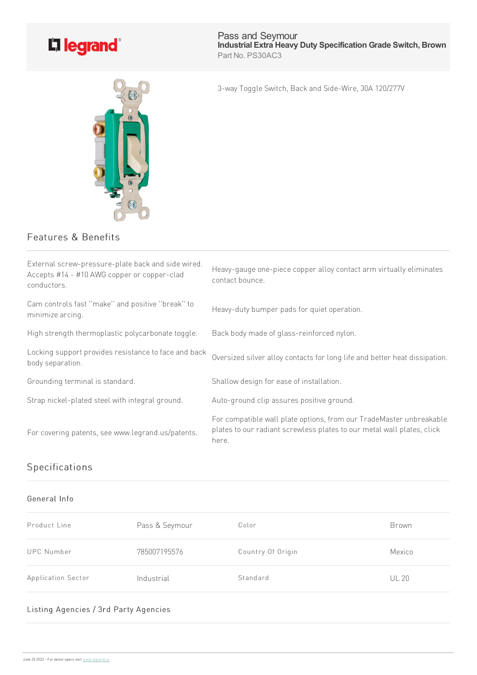

Pass and Seymour **Industrial Extra Heavy Duty Specification Grade Switch, Brown** Part No. PS30AC3

3-way Toggle Switch, Back and Side-Wire, 30A 120/277V



| External screw-pressure-plate back and side wired.<br>Accepts #14 - #10 AWG copper or copper-clad<br>conductors. | Heavy-gauge one-piece copper alloy contact arm virtually eliminates<br>contact bounce.                                                                 |
|------------------------------------------------------------------------------------------------------------------|--------------------------------------------------------------------------------------------------------------------------------------------------------|
| Cam controls fast "make" and positive "break" to<br>minimize arcing.                                             | Heavy-duty bumper pads for quiet operation.                                                                                                            |
| High strength thermoplastic polycarbonate toggle.                                                                | Back body made of glass-reinforced nylon.                                                                                                              |
| Locking support provides resistance to face and back<br>body separation.                                         | Oversized silver alloy contacts for long life and better heat dissipation.                                                                             |
| Grounding terminal is standard.                                                                                  | Shallow design for ease of installation.                                                                                                               |
| Strap nickel-plated steel with integral ground.                                                                  | Auto-ground clip assures positive ground.                                                                                                              |
| For covering patents, see www.legrand.us/patents.                                                                | For compatible wall plate options, from our TradeMaster unbreakable<br>plates to our radiant screwless plates to our metal wall plates, click<br>here. |

## Specifications

## General Info

| Product Line       | Pass & Seymour | Color             | Brown        |
|--------------------|----------------|-------------------|--------------|
| <b>UPC Number</b>  | 785007195576   | Country Of Origin | Mexico       |
| Application Sector | Industrial     | Standard          | <b>UL 20</b> |

## Listing Agencies / 3rd Party Agencies